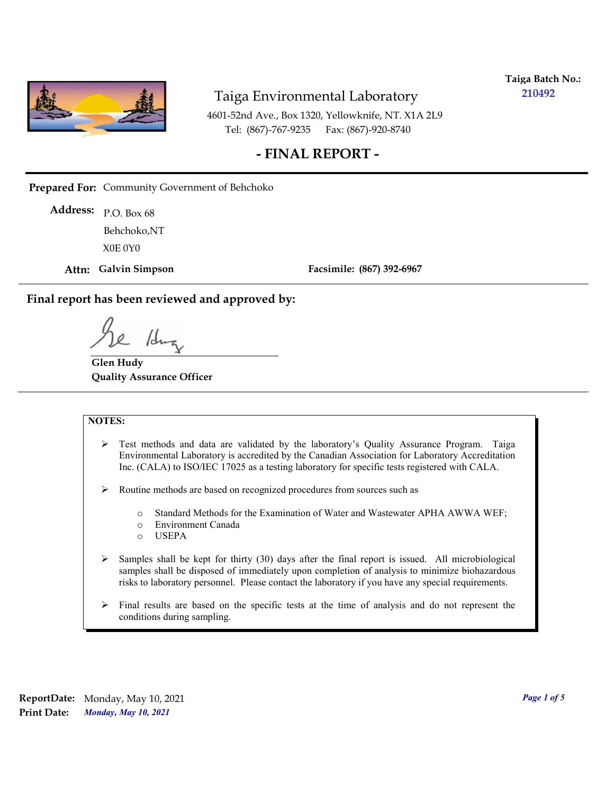

**Taiga Batch No.: 210492**

4601-52nd Ave., Box 1320, Yellowknife, NT. X1A 2L9 Tel: (867)-767-9235 Fax: (867)-920-8740

## **- FINAL REPORT -**

**Prepared For:** Community Government of Behchoko

P.O. Box 68 **Address:** X0E 0Y0 Behchoko,NT

**Attn: Galvin Simpson**

**Facsimile: (867) 392-6967**

**Final report has been reviewed and approved by:**

1dr

**Glen Hudy Quality Assurance Officer**

#### **NOTES:**

- $\triangleright$  Test methods and data are validated by the laboratory's Quality Assurance Program. Taiga Environmental Laboratory is accredited by the Canadian Association for Laboratory Accreditation Inc. (CALA) to ISO/IEC 17025 as a testing laboratory for specific tests registered with CALA.
- Routine methods are based on recognized procedures from sources such as
	- o Standard Methods for the Examination of Water and Wastewater APHA AWWA WEF;
	- o Environment Canada
	- o USEPA
- $\triangleright$  Samples shall be kept for thirty (30) days after the final report is issued. All microbiological samples shall be disposed of immediately upon completion of analysis to minimize biohazardous risks to laboratory personnel. Please contact the laboratory if you have any special requirements.
- $\triangleright$  Final results are based on the specific tests at the time of analysis and do not represent the conditions during sampling.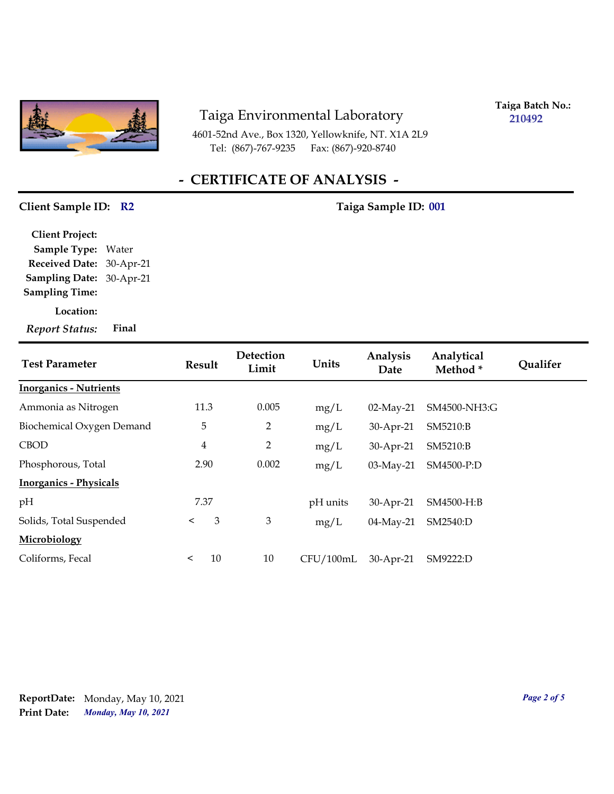

4601-52nd Ave., Box 1320, Yellowknife, NT. X1A 2L9 Tel: (867)-767-9235 Fax: (867)-920-8740

**Taiga Batch No.: 210492**

# **- CERTIFICATE OF ANALYSIS -**

#### Client Sample ID: R2 Taiga Sample ID: 001

| <b>Client Project:</b>   |       |
|--------------------------|-------|
| <b>Sample Type:</b>      | Water |
| Received Date: 30-Apr-21 |       |
| Sampling Date: 30-Apr-21 |       |
| <b>Sampling Time:</b>    |       |
| Location:                |       |
| <b>Report Status:</b>    | Final |

| <b>Test Parameter</b>         | Result         |    | Detection<br>Limit | Units     | Analysis<br>Date | Analytical<br>Method* | Qualifer |
|-------------------------------|----------------|----|--------------------|-----------|------------------|-----------------------|----------|
| <b>Inorganics - Nutrients</b> |                |    |                    |           |                  |                       |          |
| Ammonia as Nitrogen           | 11.3           |    | 0.005              | mg/L      | $02$ -May-21     | SM4500-NH3:G          |          |
| Biochemical Oxygen Demand     | 5              |    | $\overline{2}$     | mg/L      | 30-Apr-21        | SM5210:B              |          |
| <b>CBOD</b>                   | $\overline{4}$ |    | $\overline{2}$     | mg/L      | 30-Apr-21        | SM5210:B              |          |
| Phosphorous, Total            | 2.90           |    | 0.002              | mg/L      | $03$ -May-21     | SM4500-P:D            |          |
| <b>Inorganics - Physicals</b> |                |    |                    |           |                  |                       |          |
| pH                            | 7.37           |    |                    | pH units  | 30-Apr-21        | SM4500-H:B            |          |
| Solids, Total Suspended       | $\lt$          | 3  | 3                  | mg/L      | 04-May-21        | SM2540:D              |          |
| Microbiology                  |                |    |                    |           |                  |                       |          |
| Coliforms, Fecal              | $\,<\,$        | 10 | 10                 | CFU/100mL | 30-Apr-21        | SM9222:D              |          |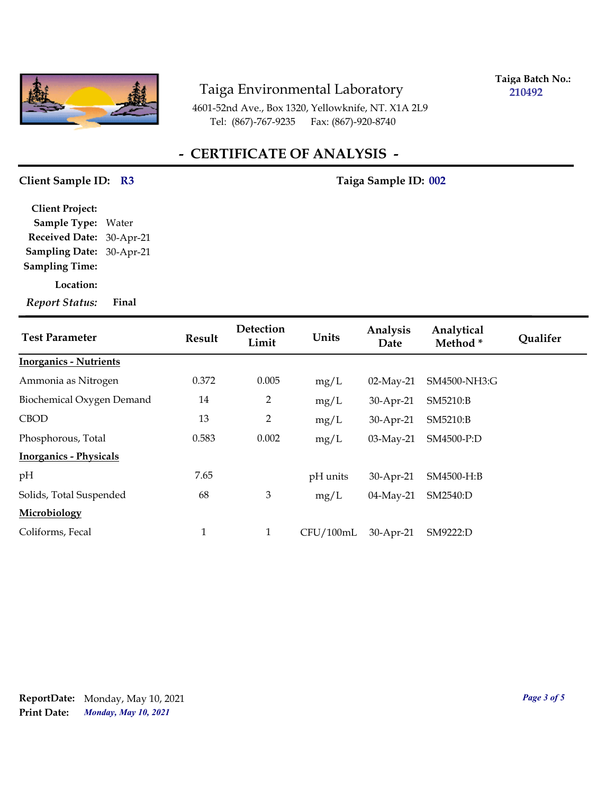

**Taiga Batch No.: 210492**

4601-52nd Ave., Box 1320, Yellowknife, NT. X1A 2L9 Tel: (867)-767-9235 Fax: (867)-920-8740

## **- CERTIFICATE OF ANALYSIS -**

#### Client Sample ID: R3 Taiga Sample ID: 002

**Sampling Date:** 30-Apr-21 **Received Date:** 30-Apr-21 **Client Project: Sample Type:** Water **Sampling Time:**

**Location:**

*Report Status:* **Final**

| <b>Test Parameter</b>         | Result | Detection<br>Limit | Units     | Analysis<br>Date | Analytical<br>Method* | <b>Qualifer</b> |
|-------------------------------|--------|--------------------|-----------|------------------|-----------------------|-----------------|
| <b>Inorganics - Nutrients</b> |        |                    |           |                  |                       |                 |
| Ammonia as Nitrogen           | 0.372  | 0.005              | mg/L      | 02-May-21        | SM4500-NH3:G          |                 |
| Biochemical Oxygen Demand     | 14     | $\overline{2}$     | mg/L      | 30-Apr-21        | SM5210:B              |                 |
| <b>CBOD</b>                   | 13     | $\overline{2}$     | mg/L      | 30-Apr-21        | SM5210:B              |                 |
| Phosphorous, Total            | 0.583  | 0.002              | mg/L      | 03-May-21        | SM4500-P:D            |                 |
| <b>Inorganics - Physicals</b> |        |                    |           |                  |                       |                 |
| pH                            | 7.65   |                    | pH units  | 30-Apr-21        | SM4500-H:B            |                 |
| Solids, Total Suspended       | 68     | 3                  | mg/L      | 04-May-21        | SM2540:D              |                 |
| Microbiology                  |        |                    |           |                  |                       |                 |
| Coliforms, Fecal              | 1      | $\mathbf{1}$       | CFU/100mL | 30-Apr-21        | SM9222:D              |                 |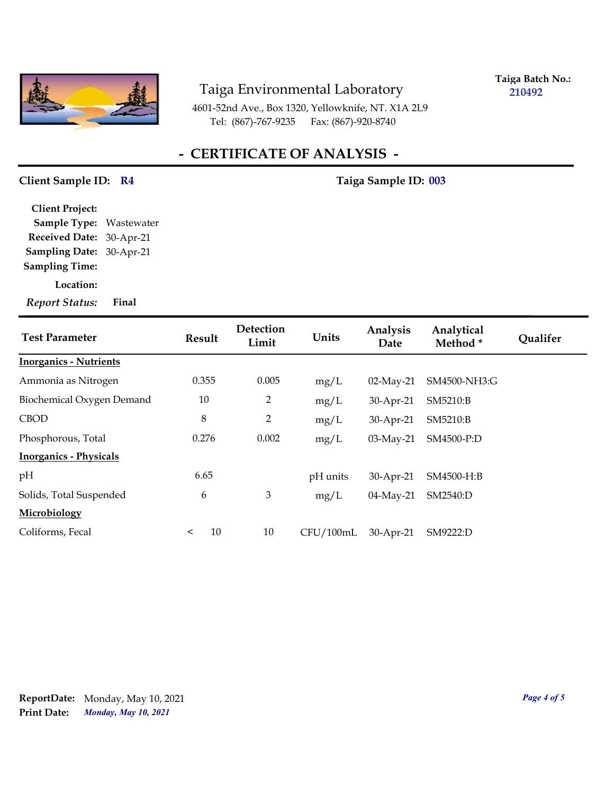

**Taiga Batch No.: 210492**

4601-52nd Ave., Box 1320, Yellowknife, NT. X1A 2L9 Tel: (867)-767-9235 Fax: (867)-920-8740

## **- CERTIFICATE OF ANALYSIS -**

#### Client Sample ID: R4 Taiga Sample ID: 003

**Sampling Date:** 30-Apr-21 **Received Date:** 30-Apr-21 **Client Project: Sample Type:** Wastewater **Sampling Time:**

**Location:**

*Report Status:* **Final**

| <b>Test Parameter</b>         | Result        | Detection<br>Limit | Units     | Analysis<br>Date | Analytical<br>Method * | <b>Qualifer</b> |
|-------------------------------|---------------|--------------------|-----------|------------------|------------------------|-----------------|
| <b>Inorganics - Nutrients</b> |               |                    |           |                  |                        |                 |
| Ammonia as Nitrogen           | 0.355         | 0.005              | mg/L      | $02$ -May-21     | SM4500-NH3:G           |                 |
| Biochemical Oxygen Demand     | 10            | $\overline{2}$     | mg/L      | 30-Apr-21        | SM5210:B               |                 |
| <b>CBOD</b>                   | $\,8\,$       | $\overline{2}$     | mg/L      | 30-Apr-21        | SM5210:B               |                 |
| Phosphorous, Total            | 0.276         | 0.002              | mg/L      | 03-May-21        | SM4500-P:D             |                 |
| <b>Inorganics - Physicals</b> |               |                    |           |                  |                        |                 |
| pH                            | 6.65          |                    | pH units  | 30-Apr-21        | SM4500-H:B             |                 |
| Solids, Total Suspended       | 6             | 3                  | mg/L      | 04-May-21        | SM2540:D               |                 |
| Microbiology                  |               |                    |           |                  |                        |                 |
| Coliforms, Fecal              | 10<br>$\,<\,$ | 10                 | CFU/100mL | 30-Apr-21        | SM9222:D               |                 |